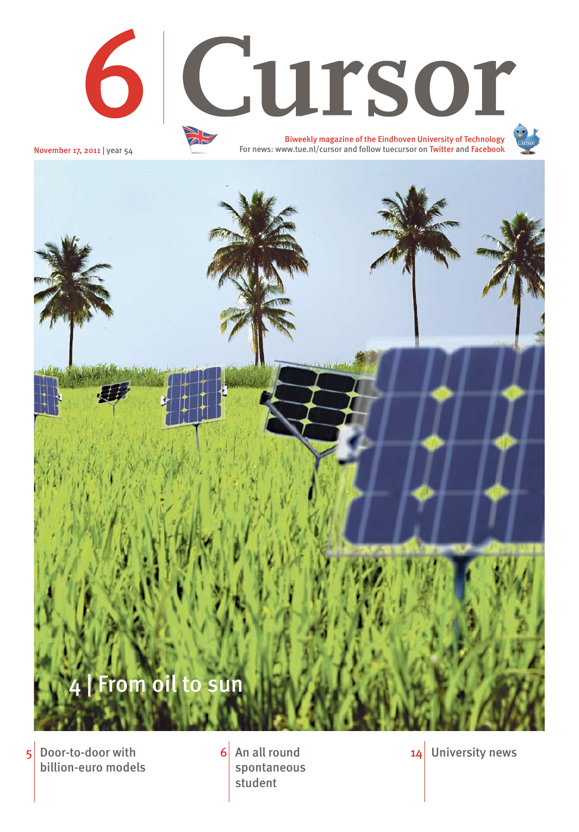$5$  Door-to-door with  $6$  An all round billion-euro models

spontaneous student

6 An all round  $\begin{array}{ccc} 6 & \text{Ans} \end{array}$  14 University news





For news: www.tue.nl/cursor and follow tuecursor on Twitter and Facebook

November 17, 2011 | year 54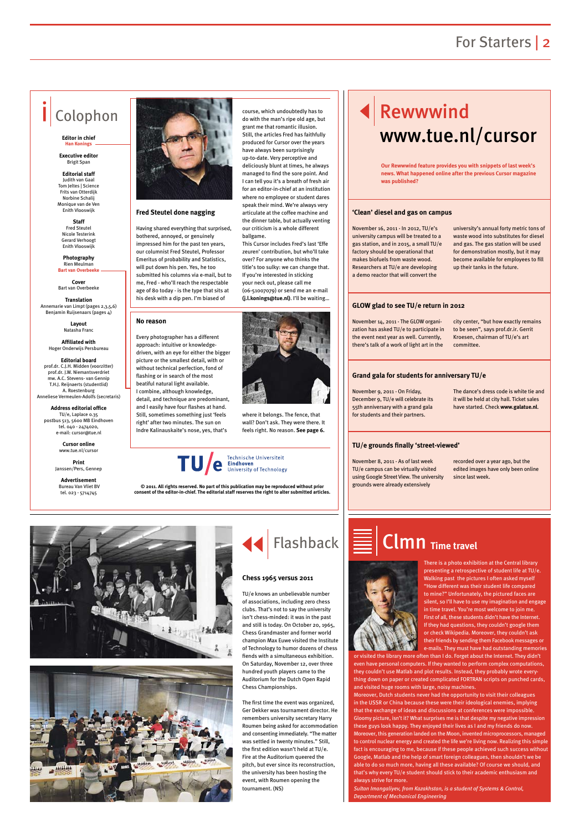## For Starters | 2



**Fred Steutel done nagging**

Having shared everything that surprised, bothered, annoyed, or genuinely impressed him for the past ten years, our columnist Fred Steutel, Professor Emeritus of probability and Statistics, will put down his pen. Yes, he too submitted his columns via e-mail, but to me, Fred - who'll reach the respectable age of 80 today - is the type that sits at his desk with a dip pen. I'm biased of

course, which undoubtedly has to do with the man's ripe old age, but grant me that romantic illusion. Still, the articles Fred has faithfully produced for Cursor over the years have always been surprisingly up-to-date. Very perceptive and deliciously blunt at times, he always managed to find the sore point. And I can tell you it's a breath of fresh air for an editor-in-chief at an institution where no employee or student dares speak their mind. We're always very articulate at the coffee machine and the dinner table, but actually venting our criticism is a whole different

**Photography**  Rien Meulman **Bart van Overbeek**  ballgame.





This Cursor includes Fred's last 'Effe zeuren' contribution, but who'll take over? For anyone who thinks the title's too sulky: we can change that. If you're interested in sticking your neck out, please call me (06-51007079) or send me an e-mail **(j.l.konings@tue.nl)**. I'll be waiting…

# Rewwwind www.tue.nl/cursor

## Colophon

#### **Editor in chief Han Konings**

**Executive editor**  Brigit Span

**Editorial staff** Judith van Gaal Tom Jeltes | Science Frits van Otterdijk Norbine Schalij Monique van de Ven Enith Vlooswijk

**Staff**  Fred Steutel Nicole Testerink Gerard Verhoogt Enith Vlooswijk

**Cover** Bart van Overbeeke

**Translation** Annemarie van Limpt (pages 2,3,5,6) Benjamin Ruijsenaars (pages 4)

> **Layout** Natasha Franc

#### **Affiliated with**  Hoger Onderwijs Persbureau

**Editorial board** prof.dr. C.J.H. Midden (voorzitter) prof.dr. J.W. Niemantsverdriet mw. A.C. Stevens- van Gennip T.H.J. Reijnaerts (studentlid) A. Roestenburg Anneliese Vermeulen-Adolfs (secretaris)

**Address editorial office** TU/e, Laplace 0.35 postbus 513, 5600 MB Eindhoven tel. 040 - 2474020, e-mail: cursor@tue.nl

> **Cursor online** www.tue.nl/cursor

**Print** Janssen/Pers, Gennep

**Advertisement** Bureau Van Vliet BV tel. 023 - 5714745

**© 2011. All rights reserved. No part of this publication may be reproduced without prior consent of the editor-in-chief. The editorial staff reserves the right to alter submitted articles.**



November 16, 2011 - In 2012, TU/e's university campus will be treated to a gas station, and in 2015, a small TU/e factory should be operational that makes biofuels from waste wood. Researchers at TU/e are developing a demo reactor that will convert the

university's annual forty metric tons of waste wood into substitutes for diesel and gas. The gas station will be used for demonstration mostly, but it may become available for employees to fill up their tanks in the future.

November 14, 2011 - The GLOW organization has asked TU/e to participate in the event next year as well. Currently, there's talk of a work of light art in the

city center, "but how exactly remains to be seen", says prof.dr.ir. Gerrit Kroesen, chairman of TU/e's art committee.

November 9, 2011 - On Friday, December 9, TU/e will celebrate its 55th anniversary with a grand gala for students and their partners.

The dance's dress code is white tie and it will be held at city hall. Ticket sales have started. Check **www.galatue.nl**.

November 8, 2011 - As of last week TU/e campus can be virtually visited using Google Street View. The university grounds were already extensively

recorded over a year ago, but the edited images have only been online since last week.

### **'Clean' diesel and gas on campus**

### **GLOW glad to see TU/e return in 2012**

## **Grand gala for students for anniversary TU/e**

### **TU/e grounds finally 'street-viewed'**

**Our Rewwwind feature provides you with snippets of last week's news. What happened online after the previous Cursor magazine was published?**

### **No reason**

Every photographer has a different approach: intuitive or knowledgedriven, with an eye for either the bigger picture or the smallest detail, with or without technical perfection, fond of flashing or in search of the most beatiful natural light available. I combine, although knowledge, detail, and technique are predominant, and I easily have four flashes at hand. Still, sometimes something just 'feels right' after two minutes. The sun on Indre Kalinauskaite's nose, yes, that's



where it belongs. The fence, that wall? Don't ask. They were there. It

feels right. No reason. **See page 6.**

There is a photo exhibition at the Central library presenting a retrospective of student life at TU/e. Walking past the pictures I often asked myself "How different was their student life compared to mine?" Unfortunately, the pictured faces are silent, so I'll have to use my imagination and engage in time travel. You're most welcome to join me. First of all, these students didn't have the Internet. If they had questions, they couldn't google them or check Wikipedia. Moreover, they couldn't ask



their friends by sending them Facebook messages or e-mails. They must have had outstanding memories

or visited the library more often than I do. Forget about the Internet. They didn't even have personal computers. If they wanted to perform complex computations, they couldn't use Matlab and plot results. Instead, they probably wrote everything down on paper or created complicated FORTRAN scripts on punched cards, and visited huge rooms with large, noisy machines.

Moreover, Dutch students never had the opportunity to visit their colleagues in the USSR or China because these were their ideological enemies, implying that the exchange of ideas and discussions at conferences were impossible. Gloomy picture, isn't it? What surprises me is that despite my negative impression these guys look happy. They enjoyed their lives as I and my friends do now. Moreover, this generation landed on the Moon, invented microprocessors, managed to control nuclear energy and created the life we're living now. Realizing this simple fact is encouraging to me, because if these people achieved such success without Google, Matlab and the help of smart foreign colleagues, then shouldn't we be able to do so much more, having all these available? Of course we should, and that's why every TU/e student should stick to their academic enthusiasm and always strive for more.

*Sultan Imangaliyev, from Kazakhstan, is a student of Systems & Control, Department of Mechanical Engineering*

# Clmn **Time travel**



TU/e knows an unbelievable number of associations, including zero chess clubs. That's not to say the university isn't chess-minded: it was in the past and still is today. On October 20, 1965, Chess Grandmaster and former world

champion Max Euwe visited the Institute of Technology to humor dozens of chess fiends with a simultaneous exhibition. On Saturday, November 12, over three hundred youth players came to the Auditorium for the Dutch Open Rapid Chess Championships.

The first time the event was organized, Ger Dekker was tournament director. He remembers university secretary Harry Roumen being asked for accommodation and consenting immediately. "The matter was settled in twenty minutes." Still, the first edition wasn't held at TU/e. Fire at the Auditorium queered the pitch, but ever since its reconstruction, the university has been hosting the event, with Roumen opening the tournament. (NS)

#### **Chess 1965 versus 2011**

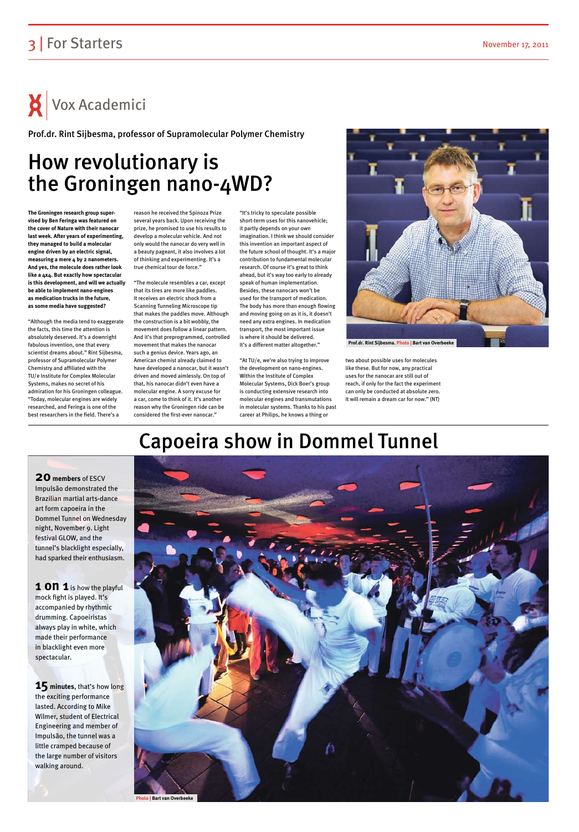## 3 For Starters November 17, 2011

# $\mathsf{X}$  Vox Academici

## Capoeira show in Dommel Tunnel



## **20 members** of ESCV

Impulsão demonstrated the Brazilian martial arts-dance art form capoeira in the Dommel Tunnel on Wednesday night, November 9. Light festival GLOW, and the tunnel's blacklight especially, had sparked their enthusiasm.

**1 ON 1** is how the playful mock fight is played. It's accompanied by rhythmic drumming. Capoeiristas always play in white, which made their performance in blacklight even more spectacular.

**15 minutes**, that's how long the exciting performance lasted. According to Mike Wilmer, student of Electrical Engineering and member of Impulsão, the tunnel was a little cramped because of the large number of visitors walking around.

# How revolutionary is the Groningen nano-4WD?

**The Groningen research group supervised by Ben Feringa was featured on the cover of Nature with their nanocar last week. After years of experimenting, they managed to build a molecular engine driven by an electric signal, measuring a mere 4 by 2 nanometers. And yes, the molecule does rather look like a 4x4. But exactly how spectacular is this development, and will we actually be able to implement nano-engines as medication trucks in the future, as some media have suggested?**

"Although the media tend to exaggerate the facts, this time the attention is absolutely deserved. It's a downright fabulous invention, one that every scientist dreams about." Rint Sijbesma, professor of Supramolecular Polymer Chemistry and affiliated with the TU/e Institute for Complex Molecular Systems, makes no secret of his admiration for his Groningen colleague. "Today, molecular engines are widely researched, and Feringa is one of the best researchers in the field. There's a

reason he received the Spinoza Prize several years back. Upon receiving the prize, he promised to use his results to develop a molecular vehicle. And not only would the nanocar do very well in a beauty pageant, it also involves a lot of thinking and experimenting. It's a true chemical tour de force."

"The molecule resembles a car, except that its tires are more like paddles. It receives an electric shock from a Scanning Tunneling Microscope tip that makes the paddles move. Although the construction is a bit wobbly, the movement does follow a linear pattern. And it's that preprogrammed, controlled movement that makes the nanocar such a genius device. Years ago, an American chemist already claimed to have developed a nanocar, but it wasn't driven and moved aimlessly. On top of that, his nanocar didn't even have a molecular engine. A sorry excuse for a car, come to think of it. It's another reason why the Groningen ride can be considered the first-ever nanocar."

"It's tricky to speculate possible short-term uses for this nanovehicle; it partly depends on your own imagination. I think we should consider this invention an important aspect of the future school of thought. It's a major contribution to fundamental molecular research. Of course it's great to think ahead, but it's way too early to already speak of human implementation. Besides, these nanocars won't be used for the transport of medication. The body has more than enough flowing and moving going on as it is, it doesn't need any extra engines. In medication transport, the most important issue is where it should be delivered. It's a different matter altogether."

"At TU/e, we're also trying to improve the development on nano-engines. Within the Institute of Complex Molecular Systems, Dick Boer's group is conducting extensive research into molecular engines and transmutations in molecular systems. Thanks to his past career at Philips, he knows a thing or

two about possible uses for molecules like these. But for now, any practical uses for the nanocar are still out of reach, if only for the fact the experiment can only be conducted at absolute zero. It will remain a dream car for now." (NT)

Prof.dr. Rint Sijbesma, professor of Supramolecular Polymer Chemistry

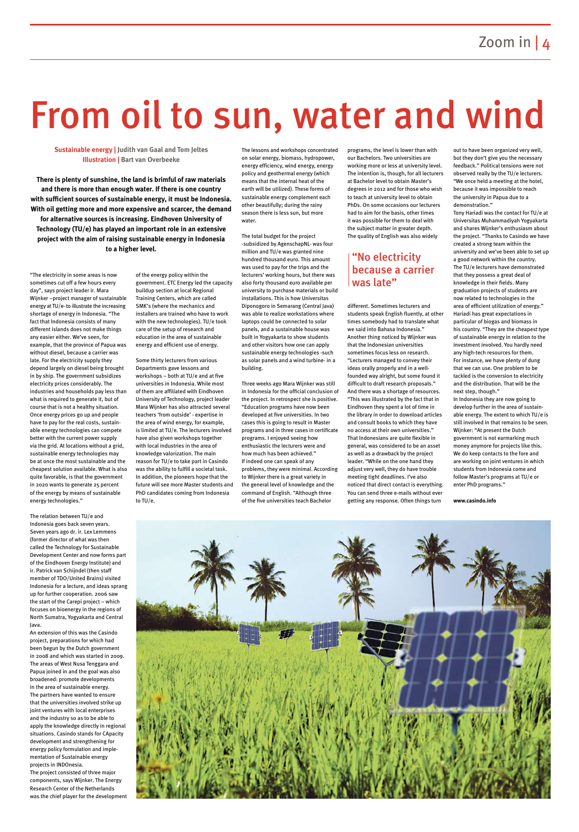# From oil to sun, water and wind

"The electricity in some areas is now sometimes cut off a few hours every day", says project leader ir. Mara Wijnker –project manager of sustainable energy at TU/e- to illustrate the increasing shortage of energy in Indonesia. "The fact that Indonesia consists of many different islands does not make things any easier either. We've seen, for example, that the province of Papua was without diesel, because a carrier was late. For the electricity supply they depend largely on diesel being brought in by ship. The government subsidizes electricity prices considerably. The industries and households pay less than what is required to generate it, but of course that is not a healthy situation. Once energy prices go up and people have to pay for the real costs, sustainable energy technologies can compete better with the current power supply via the grid. At locations without a grid, sustainable energy technologies may be at once the most sustainable and the cheapest solution available. What is also quite favorable, is that the government in 2020 wants to generate 25 percent of the energy by means of sustainable energy technologies."

The relation between TU/e and Indonesia goes back seven years. Seven years ago dr. ir. Lex Lemmens (former director of what was then called the Technology for Sustainable Development Center and now forms part of the Eindhoven Energy Institute) and ir. Patrick van Schijndel (then staff member of TDO/United Brains) visited Indonesia for a lecture, and ideas sprang up for further cooperation. 2006 saw the start of the Carepi project – which focuses on bioenergy in the regions of North Sumatra, Yogyakarta and Central Java.

An extension of this was the Casindo

project, preparations for which had been begun by the Dutch government in 2008 and which was started in 2009. The areas of West Nusa Tenggara and Papua joined in and the goal was also broadened: promote developments in the area of sustainable energy. The partners have wanted to ensure that the universities involved strike up joint ventures with local enterprises and the industry so as to be able to apply the knowledge directly in regional situations. Casindo stands for CApacity development and strengthening for energy policy formulation and implementation of Sustainable energy projects in INDOnesia. The project consisted of three major components, says Wijnker. The Energy Research Center of the Netherlands was the chief player for the development of the energy policy within the government. ETC Energy led the capacity buildup section at local Regional Training Centers, which are called SMK's (where the mechanics and installers are trained who have to work with the new technologies). TU/e took care of the setup of research and education in the area of sustainable energy and efficient use of energy.

Some thirty lecturers from various Departments gave lessons and workshops – both at TU/e and at five universities in Indonesia. While most of them are affiliated with Eindhoven University of Technology, project leader Mara Wijnker has also attracted several teachers 'from outside' - expertise in the area of wind energy, for example, is limited at TU/e. The lecturers involved have also given workshops together with local industries in the area of knowledge valorization. The main reason for TU/e to take part in Casindo was the ability to fulfill a societal task. In addition, the pioneers hope that the future will see more Master students and PhD candidates coming from Indonesia to TU/e.

The lessons and workshops concentrated on solar energy, biomass, hydropower, energy efficiency, wind energy, energy policy and geothermal energy (which means that the internal heat of the earth will be utilized). These forms of sustainable energy complement each other beautifully; during the rainy season there is less sun, but more water.

The total budget for the project -subsidized by AgenschapNL- was four million and TU/e was granted nine hundred thousand euro. This amount was used to pay for the trips and the lecturers' working hours, but there was also forty thousand euro available per university to purchase materials or build installations. This is how Universitas Diponogoro in Semarang (Central Java) was able to realize workstations where laptops could be connected to solar panels, and a sustainable house was built in Yogyakarta to show students and other visitors how one can apply sustainable energy technologies -such as solar panels and a wind turbine- in a building.

Three weeks ago Mara Wijnker was still in Indonesia for the official conclusion of the project. In retrospect she is positive. "Education programs have now been developed at five universities. In two cases this is going to result in Master programs and in three cases in certificate programs. I enjoyed seeing how enthusiastic the lecturers were and how much has been achieved." If indeed one can speak of any problems, they were minimal. According to Wijnker there is a great variety in the general level of knowledge and the command of English. "Although three of the five universities teach Bachelor

programs, the level is lower than with our Bachelors. Two universities are working more or less at university level. The intention is, though, for all lecturers at Bachelor level to obtain Master's degrees in 2012 and for those who wish to teach at university level to obtain PhDs. On some occasions our lecturers had to aim for the basis, other times it was possible for them to deal with the subject matter in greater depth. The quality of English was also widely

different. Sometimes lecturers and students speak English fluently, at other times somebody had to translate what we said into Bahasa Indonesia." Another thing noticed by Wijnker was that the Indonesian universities sometimes focus less on research. "Lecturers managed to convey their ideas orally properly and in a wellfounded way alright, but some found it difficult to draft research proposals." And there was a shortage of resources. "This was illustrated by the fact that in Eindhoven they spent a lot of time in the library in order to download articles and consult books to which they have no access at their own universities." That Indonesians are quite flexible in general, was considered to be an asset as well as a drawback by the project leader. "While on the one hand they adjust very well, they do have trouble meeting tight deadlines. I've also noticed that direct contact is everything. You can send three e-mails without ever getting any response. Often things turn

out to have been organized very well, but they don't give you the necessary feedback." Political tensions were not observed really by the TU/e lecturers. "We once held a meeting at the hotel, because it was impossible to reach the university in Papua due to a demonstration."

Tony Hariadi was the contact for TU/e at Universitas Muhammadiyah Yogyakarta and shares Wijnker's enthusiasm about the project. "Thanks to Casindo we have created a strong team within the university and we've been able to set up a good network within the country. The TU/e lecturers have demonstrated that they possess a great deal of knowledge in their fields. Many graduation projects of students are now related to technologies in the area of efficient utilization of energy." Hariadi has great expectations in particular of biogas and biomass in his country. "They are the cheapest type of sustainable energy in relation to the investment involved. You hardly need any high-tech resources for them. For instance, we have plenty of dung that we can use. One problem to be tackled is the conversion to electricity and the distribution. That will be the next step, though." In Indonesia they are now going to develop further in the area of sustainable energy. The extent to which TU/e is still involved in that remains to be seen.

Wijnker: "At present the Dutch government is not earmarking much money anymore for projects like this. We do keep contacts to the fore and are working on joint ventures in which students from Indonesia come and follow Master's programs at TU/e or enter PhD programs."

**www.casindo.info**



**Sustainable energy | Judith van Gaal and Tom Jeltes Illustration | Bart van Overbeeke**

**There is plenty of sunshine, the land is brimful of raw materials and there is more than enough water. If there is one country with sufficient sources of sustainable energy, it must be Indonesia. With oil getting more and more expensive and scarcer, the demand for alternative sources is increasing. Eindhoven University of Technology (TU/e) has played an important role in an extensive project with the aim of raising sustainable energy in Indonesia to a higher level.**

## "No electricity because a carrier was late"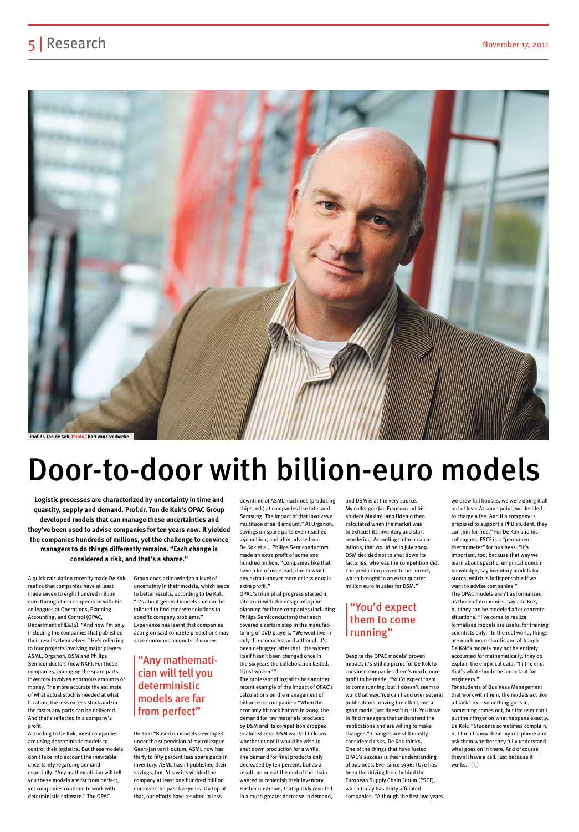## 5 Research November 17, 2011



# Door-to-door with billion-euro models

A quick calculation recently made De Kok realize that companies have at least made seven to eight hundred million euro through their cooperation with his colleagues at Operations, Planning, Accounting, and Control (OPAC, Department of IE&IS). "And now I'm only including the companies that published

their results themselves." He's referring to four projects involving major players ASML, Organon, DSM and Philips Semiconductors (now NXP). For these companies, managing the spare parts inventory involves enormous amounts of money. The more accurate the estimate of what actual stock is needed at what location, the less excess stock and/or the faster any parts can be delivered. And that's reflected in a company's profit.

According to De Kok, most companies are using deterministic models to control their logistics. But these models don't take into account the inevitable uncertainty regarding demand especially. "Any mathematician will tell you these models are far from perfect, yet companies continue to work with deterministic software." The OPAC

Group does acknowledge a level of uncertainty in their models, which leads to better results, according to De Kok. "It's about general models that can be tailored to find concrete solutions to specific company problems." Experience has learnt that companies acting on said concrete predictions may

save enormous amounts of money.

De Kok: "Based on models developed under the supervision of my colleague Geert-Jan van Houtum, ASML now has thirty to fifty percent less spare parts in inventory. ASML hasn't published their savings, but I'd say it's yielded the company at least one hundred million euro over the past five years. On top of that, our efforts have resulted in less

downtime of ASML machines (producing chips, ed.) at companies like Intel and Samsung. The impact of that involves a multitude of said amount." At Organon, savings on spare parts even reached 250 million, and after advice from De Kok et al., Philips Semiconductors made an extra profit of some one hundred million. "Companies like that have a lot of overhead, due to which any extra turnover more or less equals extra profit."

OPAC's triumphal progress started in late 2001 with the design of a joint planning for three companies (including Philips Semiconductors) that each covered a certain step in the manufacturing of DVD players. "We went live in

only three months, and although it's been debugged after that, the system itself hasn't been changed once in the six years the collaboration lasted. It just worked!"

The professor of logistics has another recent example of the impact of OPAC's calculations on the management of billion-euro companies: "When the economy hit rock bottom in 2009, the demand for raw materials produced by DSM and its competition dropped to almost zero. DSM wanted to know whether or not it would be wise to shut down production for a while. The demand for final products only decreased by ten percent, but as a result, no one at the end of the chain wanted to replenish their inventory. Further upstream, that quickly resulted in a much greater decrease in demand,

and DSM is at the very source. My colleague Jan Fransoo and his student Maximiliano Udenio then calculated when the market was to exhaust its inventory and start reordering. According to their calculations, that would be in July 2009. DSM decided not to shut down its factories, whereas the competition did. The prediction proved to be correct, which brought in an extra quarter million euro in sales for DSM."

Despite the OPAC models' proven impact, it's still no picnic for De Kok to convince companies there's much more profit to be made. "You'd expect them to come running, but it doesn't seem to work that way. You can hand over several publications proving the effect, but a good model just doesn't cut it. You have to find managers that understand the implications and are willing to make changes." Changes are still mostly considered risks, De Kok thinks. One of the things that have fueled OPAC's success is their understanding of business. Ever since 1996, TU/e has been the driving force behind the European Supply Chain Forum (ESCF), which today has thirty affiliated companies. "Although the first two years

we drew full houses, we were doing it all out of love. At some point, we decided to charge a fee. And if a company is prepared to support a PhD student, they can join for free." For De Kok and his colleagues, ESCF is a "permanent thermometer" for business. "It's important, too, because that way we learn about specific, empirical domain knowledge, say inventory models for stores, which is indispensable if we want to advise companies." The OPAC models aren't as formalized as those of economics, says De Kok, but they can be modeled after concrete situations. "I've come to realize formalized models are useful for training scientists only." In the real world, things

are much more chaotic and although De Kok's models may not be entirely accounted for mathematically, they do explain the empirical data. "In the end, that's what should be important for engineers."

For students of Business Management that work with them, the models act like a black box – something goes in, something comes out, but the user can't put their finger on what happens exactly. De Kok: "Students sometimes complain, but then I show them my cell phone and ask them whether they fully understand what goes on in there. And of course they all have a cell. Just because it works." (TJ)

**Logistic processes are characterized by uncertainty in time and quantity, supply and demand. Prof.dr. Ton de Kok's OPAC Group developed models that can manage these uncertainties and they've been used to advise companies for ten years now. It yielded the companies hundreds of millions, yet the challenge to convince managers to do things differently remains. "Each change is considered a risk, and that's a shame."**

> "Any mathematician will tell you deterministic models are far from perfect"

## "You'd expect them to come running"